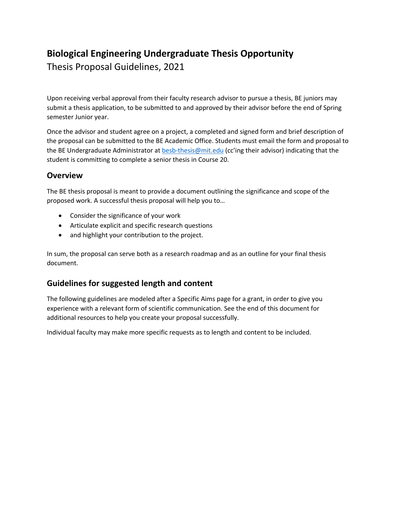# **Biological Engineering Undergraduate Thesis Opportunity**

Thesis Proposal Guidelines, 2021

Upon receiving verbal approval from their faculty research advisor to pursue a thesis, BE juniors may submit a thesis application, to be submitted to and approved by their advisor before the end of Spring semester Junior year.

Once the advisor and student agree on a project, a completed and signed form and brief description of the proposal can be submitted to the BE Academic Office. Students must email the form and proposal to the BE Undergraduate Administrator at besb-thesis@mit.edu (cc'ing their advisor) indicating that the student is committing to complete a senior thesis in Course 20.

### **Overview**

The BE thesis proposal is meant to provide a document outlining the significance and scope of the proposed work. A successful thesis proposal will help you to…

- Consider the significance of your work
- Articulate explicit and specific research questions
- and highlight your contribution to the project.

In sum, the proposal can serve both as a research roadmap and as an outline for your final thesis document.

## **Guidelines for suggested length and content**

The following guidelines are modeled after a Specific Aims page for a grant, in order to give you experience with a relevant form of scientific communication. See the end of this document for additional resources to help you create your proposal successfully.

Individual faculty may make more specific requests as to length and content to be included.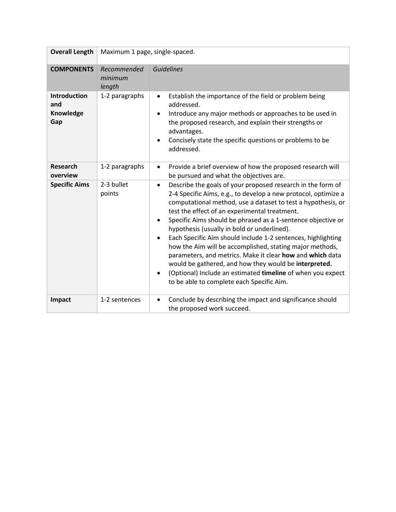| <b>Overall Length</b>                          | Maximum 1 page, single-spaced.   |                                                                                                                                                                                                                                                                                                                                                                                                                                                                                                                                                                                                                                                                                                                                                                                 |
|------------------------------------------------|----------------------------------|---------------------------------------------------------------------------------------------------------------------------------------------------------------------------------------------------------------------------------------------------------------------------------------------------------------------------------------------------------------------------------------------------------------------------------------------------------------------------------------------------------------------------------------------------------------------------------------------------------------------------------------------------------------------------------------------------------------------------------------------------------------------------------|
| <b>COMPONENTS</b>                              | Recommended<br>minimum<br>length | <b>Guidelines</b>                                                                                                                                                                                                                                                                                                                                                                                                                                                                                                                                                                                                                                                                                                                                                               |
| <b>Introduction</b><br>and<br>Knowledge<br>Gap | 1-2 paragraphs                   | Establish the importance of the field or problem being<br>$\bullet$<br>addressed.<br>Introduce any major methods or approaches to be used in<br>$\bullet$<br>the proposed research, and explain their strengths or<br>advantages.<br>Concisely state the specific questions or problems to be<br>$\bullet$<br>addressed.                                                                                                                                                                                                                                                                                                                                                                                                                                                        |
| Research<br>overview                           | 1-2 paragraphs                   | Provide a brief overview of how the proposed research will<br>$\bullet$<br>be pursued and what the objectives are.                                                                                                                                                                                                                                                                                                                                                                                                                                                                                                                                                                                                                                                              |
| <b>Specific Aims</b>                           | 2-3 bullet<br>points             | Describe the goals of your proposed research in the form of<br>$\bullet$<br>2-4 Specific Aims, e.g., to develop a new protocol, optimize a<br>computational method, use a dataset to test a hypothesis, or<br>test the effect of an experimental treatment.<br>Specific Aims should be phrased as a 1-sentence objective or<br>$\bullet$<br>hypothesis (usually in bold or underlined).<br>Each Specific Aim should include 1-2 sentences, highlighting<br>$\bullet$<br>how the Aim will be accomplished, stating major methods,<br>parameters, and metrics. Make it clear how and which data<br>would be gathered, and how they would be interpreted.<br>(Optional) Include an estimated timeline of when you expect<br>$\bullet$<br>to be able to complete each Specific Aim. |
| Impact                                         | 1-2 sentences                    | Conclude by describing the impact and significance should<br>$\bullet$<br>the proposed work succeed.                                                                                                                                                                                                                                                                                                                                                                                                                                                                                                                                                                                                                                                                            |